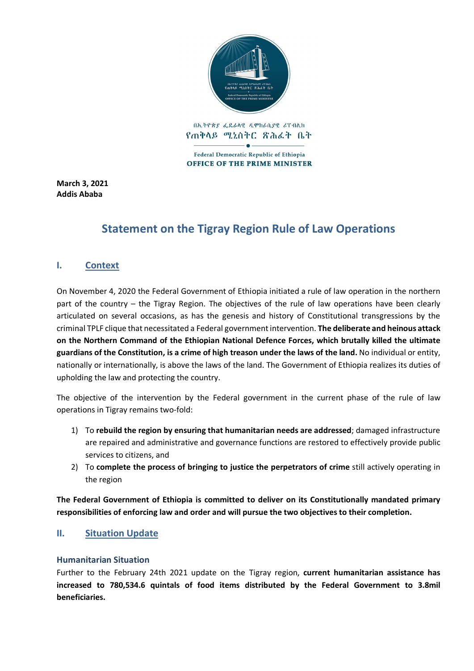

የጠቅላይ ሚኒስትር ጽሕፈት ቤት

Federal Democratic Republic of Ethiopia **OFFICE OF THE PRIME MINISTER** 

**March 3, 2021 Addis Ababa**

# **Statement on the Tigray Region Rule of Law Operations**

# **I. Context**

On November 4, 2020 the Federal Government of Ethiopia initiated a rule of law operation in the northern part of the country – the Tigray Region. The objectives of the rule of law operations have been clearly articulated on several occasions, as has the genesis and history of Constitutional transgressions by the criminal TPLF clique that necessitated a Federal government intervention. **The deliberate and heinous attack on the Northern Command of the Ethiopian National Defence Forces, which brutally killed the ultimate guardians of the Constitution, is a crime of high treason under the laws of the land.** No individual or entity, nationally or internationally, is above the laws of the land. The Government of Ethiopia realizes its duties of upholding the law and protecting the country.

The objective of the intervention by the Federal government in the current phase of the rule of law operations in Tigray remains two-fold:

- 1) To **rebuild the region by ensuring that humanitarian needs are addressed**; damaged infrastructure are repaired and administrative and governance functions are restored to effectively provide public services to citizens, and
- 2) To **complete the process of bringing to justice the perpetrators of crime** still actively operating in the region

**The Federal Government of Ethiopia is committed to deliver on its Constitutionally mandated primary responsibilities of enforcing law and order and will pursue the two objectives to their completion.**

# **II. Situation Update**

#### **Humanitarian Situation**

Further to the February 24th 2021 update on the Tigray region, **current humanitarian assistance has increased to 780,534.6 quintals of food items distributed by the Federal Government to 3.8mil beneficiaries.**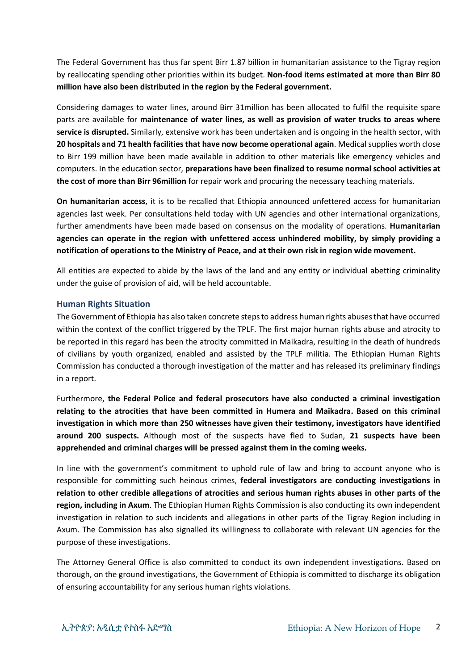The Federal Government has thus far spent Birr 1.87 billion in humanitarian assistance to the Tigray region by reallocating spending other priorities within its budget. **Non-food items estimated at more than Birr 80 million have also been distributed in the region by the Federal government.**

Considering damages to water lines, around Birr 31million has been allocated to fulfil the requisite spare parts are available for **maintenance of water lines, as well as provision of water trucks to areas where service is disrupted.** Similarly, extensive work has been undertaken and is ongoing in the health sector, with **20 hospitals and 71 health facilities that have now become operational again**. Medical supplies worth close to Birr 199 million have been made available in addition to other materials like emergency vehicles and computers. In the education sector, **preparations have been finalized to resume normal school activities at the cost of more than Birr 96million** for repair work and procuring the necessary teaching materials.

**On humanitarian access**, it is to be recalled that Ethiopia announced unfettered access for humanitarian agencies last week. Per consultations held today with UN agencies and other international organizations, further amendments have been made based on consensus on the modality of operations. **Humanitarian agencies can operate in the region with unfettered access unhindered mobility, by simply providing a notification of operations to the Ministry of Peace, and at their own risk in region wide movement.** 

All entities are expected to abide by the laws of the land and any entity or individual abetting criminality under the guise of provision of aid, will be held accountable.

## **Human Rights Situation**

The Government of Ethiopia has also taken concrete steps to address human rights abuses that have occurred within the context of the conflict triggered by the TPLF. The first major human rights abuse and atrocity to be reported in this regard has been the atrocity committed in Maikadra, resulting in the death of hundreds of civilians by youth organized, enabled and assisted by the TPLF militia. The Ethiopian Human Rights Commission has conducted a thorough investigation of the matter and has released its preliminary findings in a report.

Furthermore, **the Federal Police and federal prosecutors have also conducted a criminal investigation relating to the atrocities that have been committed in Humera and Maikadra. Based on this criminal investigation in which more than 250 witnesses have given their testimony, investigators have identified around 200 suspects.** Although most of the suspects have fled to Sudan, **21 suspects have been apprehended and criminal charges will be pressed against them in the coming weeks.**

In line with the government's commitment to uphold rule of law and bring to account anyone who is responsible for committing such heinous crimes, **federal investigators are conducting investigations in relation to other credible allegations of atrocities and serious human rights abuses in other parts of the region, including in Axum**. The Ethiopian Human Rights Commission is also conducting its own independent investigation in relation to such incidents and allegations in other parts of the Tigray Region including in Axum. The Commission has also signalled its willingness to collaborate with relevant UN agencies for the purpose of these investigations.

The Attorney General Office is also committed to conduct its own independent investigations. Based on thorough, on the ground investigations, the Government of Ethiopia is committed to discharge its obligation of ensuring accountability for any serious human rights violations.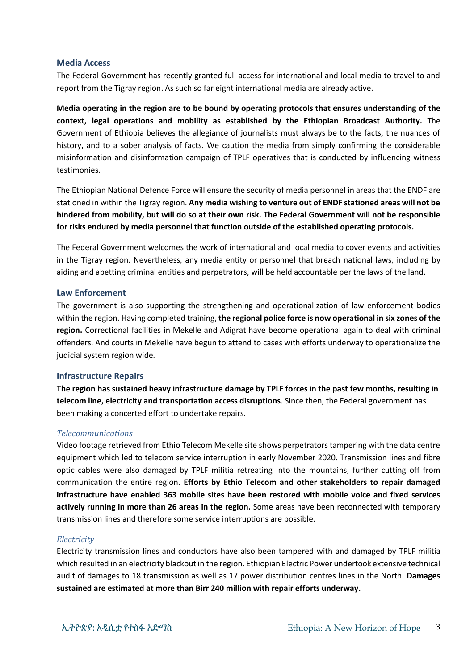#### **Media Access**

The Federal Government has recently granted full access for international and local media to travel to and report from the Tigray region. As such so far eight international media are already active.

**Media operating in the region are to be bound by operating protocols that ensures understanding of the context, legal operations and mobility as established by the Ethiopian Broadcast Authority.** The Government of Ethiopia believes the allegiance of journalists must always be to the facts, the nuances of history, and to a sober analysis of facts. We caution the media from simply confirming the considerable misinformation and disinformation campaign of TPLF operatives that is conducted by influencing witness testimonies.

The Ethiopian National Defence Force will ensure the security of media personnel in areas that the ENDF are stationed in within the Tigray region. **Any media wishing to venture out of ENDF stationed areas will not be hindered from mobility, but will do so at their own risk. The Federal Government will not be responsible for risks endured by media personnel that function outside of the established operating protocols.**

The Federal Government welcomes the work of international and local media to cover events and activities in the Tigray region. Nevertheless, any media entity or personnel that breach national laws, including by aiding and abetting criminal entities and perpetrators, will be held accountable per the laws of the land.

#### **Law Enforcement**

The government is also supporting the strengthening and operationalization of law enforcement bodies within the region. Having completed training, **the regional police force is now operational in six zones of the region.** Correctional facilities in Mekelle and Adigrat have become operational again to deal with criminal offenders. And courts in Mekelle have begun to attend to cases with efforts underway to operationalize the judicial system region wide.

#### **Infrastructure Repairs**

**The region has sustained heavy infrastructure damage by TPLF forces in the past few months, resulting in telecom line, electricity and transportation access disruptions**. Since then, the Federal government has been making a concerted effort to undertake repairs.

#### *Telecommunications*

Video footage retrieved from Ethio Telecom Mekelle site shows perpetrators tampering with the data centre equipment which led to telecom service interruption in early November 2020. Transmission lines and fibre optic cables were also damaged by TPLF militia retreating into the mountains, further cutting off from communication the entire region. **Efforts by Ethio Telecom and other stakeholders to repair damaged infrastructure have enabled 363 mobile sites have been restored with mobile voice and fixed services actively running in more than 26 areas in the region.** Some areas have been reconnected with temporary transmission lines and therefore some service interruptions are possible.

#### *Electricity*

Electricity transmission lines and conductors have also been tampered with and damaged by TPLF militia which resulted in an electricity blackout in the region. Ethiopian Electric Power undertook extensive technical audit of damages to 18 transmission as well as 17 power distribution centres lines in the North. **Damages sustained are estimated at more than Birr 240 million with repair efforts underway.**